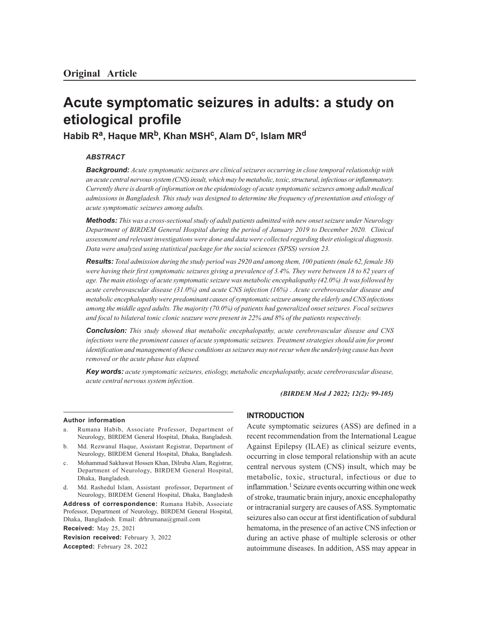# **Acute symptomatic seizures in adults: a study on etiological profile**

**Habib R<sup>a</sup> , Haque MRb, Khan MSH<sup>c</sup> , Alam D<sup>c</sup> , Islam MR<sup>d</sup>**

# *ABSTRACT*

*Background: Acute symptomatic seizures are clinical seizures occurring in close temporal relationship with an acute central nervous system (CNS) insult, which may be metabolic, toxic, structural, infectious or inflammatory. Currently there is dearth of information on the epidemiology of acute symptomatic seizures among adult medical admissions in Bangladesh. This study was designed to determine the frequency of presentation and etiology of acute symptomatic seizures among adults.*

*Methods: This was a cross-sectional study of adult patients admitted with new onset seizure under Neurology Department of BIRDEM General Hospital during the period of January 2019 to December 2020. Clinical assessment and relevant investigations were done and data were collected regarding their etiological diagnosis. Data were analyzed using statistical package for the social sciences (SPSS) version 23.*

*Results: Total admission during the study period was 2920 and among them, 100 patients (male 62, female 38) were having their first symptomatic seizures giving a prevalence of 3.4%. They were between 18 to 82 years of age. The main etiology of acute symptomatic seizure was metabolic encephalopathy (42.0%) .It was followed by acute cerebrovascular disease (31.0%) and acute CNS infection (16%) . Acute cerebrovascular disease and metabolic encephalopathy were predominant causes of symptomatic seizure among the elderly and CNS infections among the middle aged adults. The majority (70.0%) of patients had generalized onset seizures. Focal seizures and focal to bilateral tonic clonic seazure were present in 22% and 8% of the patients respectively.*

*Conclusion: This study showed that metabolic encephalopathy, acute cerebrovascular disease and CNS infections were the prominent causes of acute symptomatic seizures. Treatment strategies should aim for promt identification and management of these conditions as seizures may not recur when the underlying cause has been removed or the acute phase has elapsed.*

*Key words: acute symptomatic seizures, etiology, metabolic encephalopathy, acute cerebrovascular disease, acute central nervous system infection.*

*(BIRDEM Med J 2022; 12(2): 99-105)*

#### **Author information**

- Rumana Habib, Associate Professor, Department of Neurology, BIRDEM General Hospital, Dhaka, Bangladesh.
- b. Md. Rezwanul Haque, Assistant Registrar, Department of Neurology, BIRDEM General Hospital, Dhaka, Bangladesh.
- c. Mohammad Sakhawat Hossen Khan, Dilruba Alam, Registrar, Department of Neurology, BIRDEM General Hospital, Dhaka, Bangladesh.
- d. Md. Rashedul Islam, Assistant professor, Department of Neurology, BIRDEM General Hospital, Dhaka, Bangladesh

**Address of correspondence:** Rumana Habib, Associate Professor, Department of Neurology, BIRDEM General Hospital, Dhaka, Bangladesh. Email: drhrumana@gmail.com

**Received:** May 25, 2021 **Revision received:** February 3, 2022 **Accepted:** February 28, 2022

### **INTRODUCTION**

Acute symptomatic seizures (ASS) are defined in a recent recommendation from the International League Against Epilepsy (ILAE) as clinical seizure events, occurring in close temporal relationship with an acute central nervous system (CNS) insult, which may be metabolic, toxic, structural, infectious or due to inflammation.<sup>1</sup> Seizure events occurring within one week of stroke, traumatic brain injury, anoxic encephalopathy or intracranial surgery are causes of ASS. Symptomatic seizures also can occur at first identification of subdural hematoma, in the presence of an active CNS infection or during an active phase of multiple sclerosis or other autoimmune diseases. In addition, ASS may appear in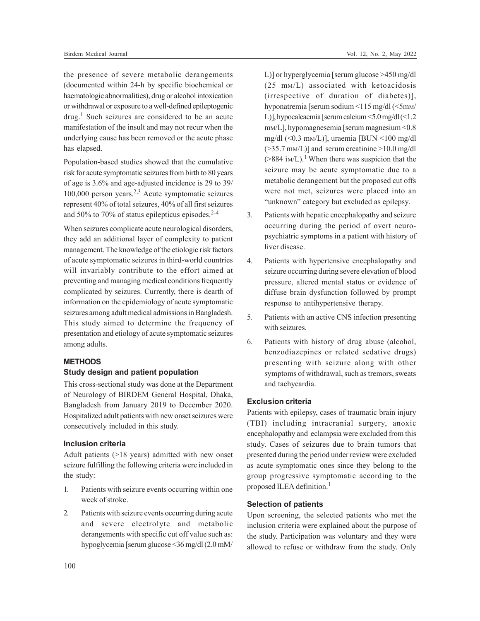the presence of severe metabolic derangements (documented within 24-h by specific biochemical or haematologic abnormalities), drug or alcohol intoxication or withdrawal or exposure to a well-defined epileptogenic drug.<sup>1</sup> Such seizures are considered to be an acute manifestation of the insult and may not recur when the underlying cause has been removed or the acute phase has elapsed.

Population-based studies showed that the cumulative risk for acute symptomatic seizures from birth to 80 years of age is 3.6% and age-adjusted incidence is 29 to 39/ 100,000 person years.2,3 Acute symptomatic seizures represent 40% of total seizures, 40% of all first seizures and 50% to 70% of status epilepticus episodes. $2-4$ 

When seizures complicate acute neurological disorders, they add an additional layer of complexity to patient management. The knowledge of the etiologic risk factors of acute symptomatic seizures in third-world countries will invariably contribute to the effort aimed at preventing and managing medical conditions frequently complicated by seizures. Currently, there is dearth of information on the epidemiology of acute symptomatic seizures among adult medical admissions in Bangladesh. This study aimed to determine the frequency of presentation and etiology of acute symptomatic seizures among adults.

# **METHODS**

#### **Study design and patient population**

This cross-sectional study was done at the Department of Neurology of BIRDEM General Hospital, Dhaka, Bangladesh from January 2019 to December 2020. Hospitalized adult patients with new onset seizures were consecutively included in this study.

## **Inclusion criteria**

Adult patients (>18 years) admitted with new onset seizure fulfilling the following criteria were included in the study:

- 1. Patients with seizure events occurring within one week of stroke.
- 2. Patients with seizure events occurring during acute and severe electrolyte and metabolic derangements with specific cut off value such as: hypoglycemia [serum glucose <36 mg/dl (2.0 mM/

L)] or hyperglycemia [serum glucose >450 mg/dl (25 mM/L) associated with ketoacidosis (irrespective of duration of diabetes)], hyponatremia [serum sodium <115 mg/dl (<5mM/ L)], hypocalcaemia [serum calcium <5.0 mg/dl (<1.2 mM/L], hypomagnesemia [serum magnesium <0.8 mg/dl (<0.3 mM/L)], uraemia [BUN <100 mg/dl  $(>=35.7 \text{ mM/L})$ ] and serum creatinine  $>=10.0 \text{ mg/d}$  $(>884 \text{ iM/L})$ .<sup>1</sup> When there was suspicion that the seizure may be acute symptomatic due to a metabolic derangement but the proposed cut offs were not met, seizures were placed into an "unknown" category but excluded as epilepsy.

- 3. Patients with hepatic encephalopathy and seizure occurring during the period of overt neuropsychiatric symptoms in a patient with history of liver disease.
- 4. Patients with hypertensive encephalopathy and seizure occurring during severe elevation of blood pressure, altered mental status or evidence of diffuse brain dysfunction followed by prompt response to antihypertensive therapy.
- 5. Patients with an active CNS infection presenting with seizures.
- 6. Patients with history of drug abuse (alcohol, benzodiazepines or related sedative drugs) presenting with seizure along with other symptoms of withdrawal, such as tremors, sweats and tachycardia.

## **Exclusion criteria**

Patients with epilepsy, cases of traumatic brain injury (TBI) including intracranial surgery, anoxic encephalopathy and eclampsia were excluded from this study. Cases of seizures due to brain tumors that presented during the period under review were excluded as acute symptomatic ones since they belong to the group progressive symptomatic according to the proposed ILEA definition.<sup>1</sup>

# **Selection of patients**

Upon screening, the selected patients who met the inclusion criteria were explained about the purpose of the study. Participation was voluntary and they were allowed to refuse or withdraw from the study. Only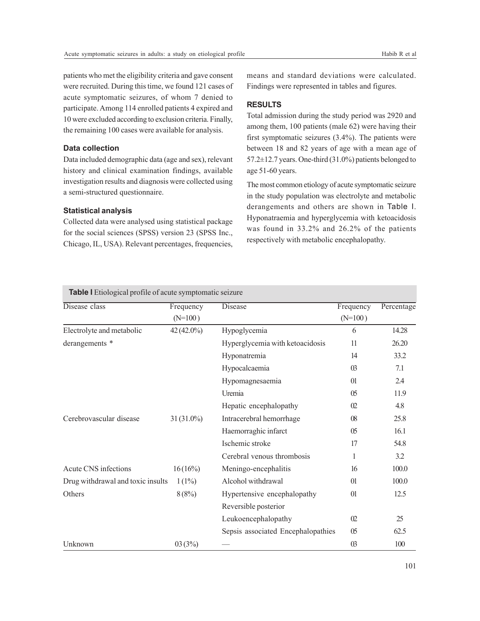patients who met the eligibility criteria and gave consent were recruited. During this time, we found 121 cases of acute symptomatic seizures, of whom 7 denied to participate. Among 114 enrolled patients 4 expired and 10 were excluded according to exclusion criteria. Finally, the remaining 100 cases were available for analysis.

# **Data collection**

Data included demographic data (age and sex), relevant history and clinical examination findings, available investigation results and diagnosis were collected using a semi-structured questionnaire.

## **Statistical analysis**

Collected data were analysed using statistical package for the social sciences (SPSS) version 23 (SPSS Inc., Chicago, IL, USA). Relevant percentages, frequencies, means and standard deviations were calculated. Findings were represented in tables and figures.

# **RESULTS**

Total admission during the study period was 2920 and among them, 100 patients (male 62) were having their first symptomatic seizures (3.4%). The patients were between 18 and 82 years of age with a mean age of 57.2±12.7 years. One-third (31.0%) patients belonged to age 51-60 years.

The most common etiology of acute symptomatic seizure in the study population was electrolyte and metabolic derangements and others are shown in Table I. Hyponatraemia and hyperglycemia with ketoacidosis was found in 33.2% and 26.2% of the patients respectively with metabolic encephalopathy.

| <b>Table I</b> Etiological profile of acute symptomatic seizure |  |  |  |
|-----------------------------------------------------------------|--|--|--|
|                                                                 |  |  |  |

| Disease class                     | Frequency            | Disease                            | Frequency      | Percentage |
|-----------------------------------|----------------------|------------------------------------|----------------|------------|
|                                   | $(N=100)$            |                                    | $(N=100)$      |            |
| Electrolyte and metabolic         | $42(42.0\%)$         | Hypoglycemia                       | 6              | 14.28      |
| derangements *                    |                      | Hyperglycemia with ketoacidosis    | 11             | 26.20      |
|                                   |                      | Hyponatremia                       | 14             | 33.2       |
|                                   |                      | Hypocalcaemia                      | 03             | 7.1        |
|                                   |                      | Hypomagnesaemia                    | 01             | 2.4        |
|                                   |                      | Uremia                             | 05             | 11.9       |
|                                   |                      | Hepatic encephalopathy             | 02             | 4.8        |
| Cerebrovascular disease           | $31(31.0\%)$         | Intracerebral hemorrhage           | $08\,$         | 25.8       |
|                                   |                      | Haemorraghic infarct               | 0 <sub>5</sub> | 16.1       |
|                                   |                      | Ischemic stroke                    | 17             | 54.8       |
|                                   |                      | Cerebral venous thrombosis         | 1              | 3.2        |
| Acute CNS infections              | 16(16%)              | Meningo-encephalitis               | 16             | 100.0      |
| Drug withdrawal and toxic insults | $1(1\%)$             | Alcohol withdrawal                 | 01             | 100.0      |
| Others                            | 8(8%)                | Hypertensive encephalopathy        | 01             | 12.5       |
|                                   | Reversible posterior |                                    |                |            |
|                                   |                      | Leukoencephalopathy                | 02             | 25         |
|                                   |                      | Sepsis associated Encephalopathies | 05             | 62.5       |
| Unknown                           | 03(3%)               |                                    | 03             | 100        |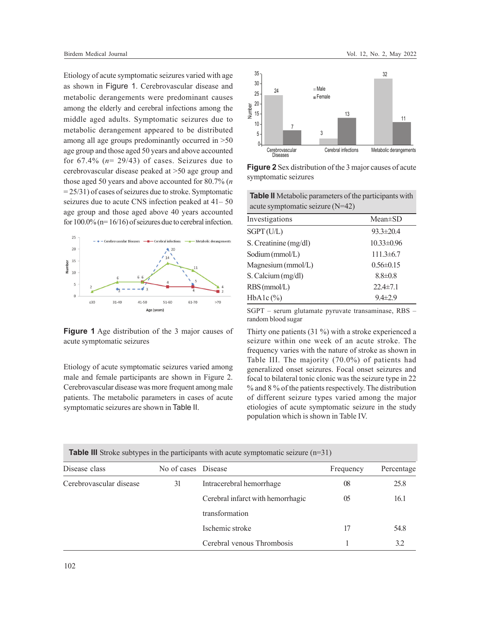Etiology of acute symptomatic seizures varied with age as shown in Figure 1. Cerebrovascular disease and metabolic derangements were predominant causes among the elderly and cerebral infections among the middle aged adults. Symptomatic seizures due to metabolic derangement appeared to be distributed among all age groups predominantly occurred in >50 age group and those aged 50 years and above accounted for  $67.4\%$  ( $n= 29/43$ ) of cases. Seizures due to cerebrovascular disease peaked at >50 age group and those aged 50 years and above accounted for 80.7% (*n*  $= 25/31$ ) of cases of seizures due to stroke. Symptomatic seizures due to acute CNS infection peaked at 41– 50 age group and those aged above 40 years accounted for  $100.0\%$  (n=  $16/16$ ) of seizures due to cerebral infection.



**Figure 1** Age distribution of the 3 major causes of acute symptomatic seizures

Etiology of acute symptomatic seizures varied among male and female participants are shown in Figure 2. Cerebrovascular disease was more frequent among male patients. The metabolic parameters in cases of acute symptomatic seizures are shown in Table II.



**Figure 2**Sex distribution of the 3 major causes of acute symptomatic seizures

**Table II** Metabolic parameters of the participants with acute symptomatic seizure (N=42)

| Investigations        | $Mean \pm SD$    |
|-----------------------|------------------|
| SGPT(U/L)             | $93.3 \pm 20.4$  |
| S. Creatinine (mg/dl) | $10.33 \pm 0.96$ |
| Sodium (mmol/L)       | $111.3\pm 6.7$   |
| Magnesium (mmol/L)    | $0.56 \pm 0.15$  |
| S. Calcium (mg/dl)    | $8.8 \pm 0.8$    |
| RBS (mmol/L)          | $22.4 \pm 7.1$   |
| $HbA1c$ (%)           | $9.4 \pm 2.9$    |

SGPT – serum glutamate pyruvate transaminase, RBS – random blood sugar

Thirty one patients (31 %) with a stroke experienced a seizure within one week of an acute stroke. The frequency varies with the nature of stroke as shown in Table III. The majority (70.0%) of patients had generalized onset seizures. Focal onset seizures and focal to bilateral tonic clonic was the seizure type in 22 % and 8 % of the patients respectively. The distribution of different seizure types varied among the major etiologies of acute symptomatic seizure in the study population which is shown in Table IV.

| <b>Table III</b> Stroke subtypes in the participants with acute symptomatic seizure $(n=31)$ |                     |                                   |           |            |  |
|----------------------------------------------------------------------------------------------|---------------------|-----------------------------------|-----------|------------|--|
| Disease class                                                                                | No of cases Disease |                                   | Frequency | Percentage |  |
| Cerebrovascular disease                                                                      | 31                  | Intracerebral hemorrhage          | 08        | 25.8       |  |
|                                                                                              |                     | Cerebral infarct with hemorrhagic | 05        | 16.1       |  |
|                                                                                              |                     | transformation                    |           |            |  |
|                                                                                              |                     | Ischemic stroke                   | 17        | 54.8       |  |
|                                                                                              |                     | Cerebral venous Thrombosis        |           | 3.2        |  |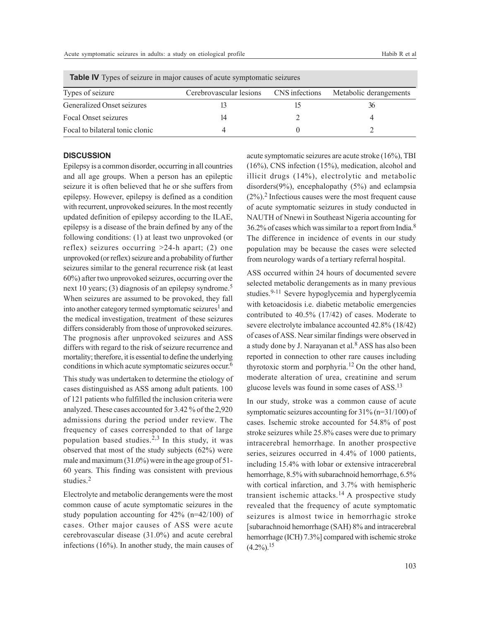| <b>Table TV</b> Types of seizure in major causes of acute symptomatic seizures |                                        |  |                        |  |  |
|--------------------------------------------------------------------------------|----------------------------------------|--|------------------------|--|--|
| Types of seizure                                                               | Cerebrovascular lesions CNS infections |  | Metabolic derangements |  |  |
| Generalized Onset seizures                                                     |                                        |  |                        |  |  |
| Focal Onset seizures                                                           | 14                                     |  |                        |  |  |
| Focal to bilateral tonic clonic                                                |                                        |  |                        |  |  |

 **Table IV** Types of seizure in major causes of acute symptomatic seizures

#### **DISCUSSION**

Epilepsy is a common disorder, occurring in all countries and all age groups. When a person has an epileptic seizure it is often believed that he or she suffers from epilepsy. However, epilepsy is defined as a condition with recurrent, unprovoked seizures. In the most recently updated definition of epilepsy according to the ILAE, epilepsy is a disease of the brain defined by any of the following conditions: (1) at least two unprovoked (or reflex) seizures occurring >24-h apart; (2) one unprovoked (or reflex) seizure and a probability of further seizures similar to the general recurrence risk (at least 60%) after two unprovoked seizures, occurring over the next 10 years; (3) diagnosis of an epilepsy syndrome.<sup>5</sup> When seizures are assumed to be provoked, they fall into another category termed symptomatic seizures<sup>1</sup> and the medical investigation, treatment of these seizures differs considerably from those of unprovoked seizures. The prognosis after unprovoked seizures and ASS differs with regard to the risk of seizure recurrence and mortality; therefore, it is essential to define the underlying conditions in which acute symptomatic seizures occur. 6

This study was undertaken to determine the etiology of cases distinguished as ASS among adult patients. 100 of 121 patients who fulfilled the inclusion criteria were analyzed. These cases accounted for 3.42 % of the 2,920 admissions during the period under review. The frequency of cases corresponded to that of large population based studies.2,3 In this study, it was observed that most of the study subjects (62%) were male and maximum (31.0%) were in the age group of 51- 60 years. This finding was consistent with previous studies.<sup>2</sup>

Electrolyte and metabolic derangements were the most common cause of acute symptomatic seizures in the study population accounting for 42% (n=42/100) of cases. Other major causes of ASS were acute cerebrovascular disease (31.0%) and acute cerebral infections (16%). In another study, the main causes of acute symptomatic seizures are acute stroke (16%), TBI (16%), CNS infection (15%), medication, alcohol and illicit drugs (14%), electrolytic and metabolic disorders(9%), encephalopathy (5%) and eclampsia  $(2\%)$ <sup>2</sup>. Infectious causes were the most frequent cause of acute symptomatic seizures in study conducted in NAUTH of Nnewi in Southeast Nigeria accounting for 36.2% of cases which was similar to a report from India.<sup>8</sup> The difference in incidence of events in our study population may be because the cases were selected from neurology wards of a tertiary referral hospital.

ASS occurred within 24 hours of documented severe selected metabolic derangements as in many previous studies.<sup>9-11</sup> Severe hypoglycemia and hyperglycemia with ketoacidosis i.e. diabetic metabolic emergencies contributed to 40.5% (17/42) of cases. Moderate to severe electrolyte imbalance accounted 42.8% (18/42) of cases of ASS. Near similar findings were observed in a study done by J. Narayanan et al.<sup>8</sup> ASS has also been reported in connection to other rare causes including thyrotoxic storm and porphyria.12 On the other hand, moderate alteration of urea, creatinine and serum glucose levels was found in some cases of ASS.<sup>13</sup>

In our study, stroke was a common cause of acute symptomatic seizures accounting for 31% (n=31/100) of cases. Ischemic stroke accounted for 54.8% of post stroke seizures while 25.8% cases were due to primary intracerebral hemorrhage. In another prospective series, seizures occurred in 4.4% of 1000 patients, including 15.4% with lobar or extensive intracerebral hemorrhage, 8.5% with subarachnoid hemorrhage, 6.5% with cortical infarction, and 3.7% with hemispheric transient ischemic attacks.<sup>14</sup> A prospective study revealed that the frequency of acute symptomatic seizures is almost twice in hemorrhagic stroke [subarachnoid hemorrhage (SAH) 8% and intracerebral hemorrhage (ICH) 7.3%] compared with ischemic stroke  $(4.2\%)$ <sup>15</sup>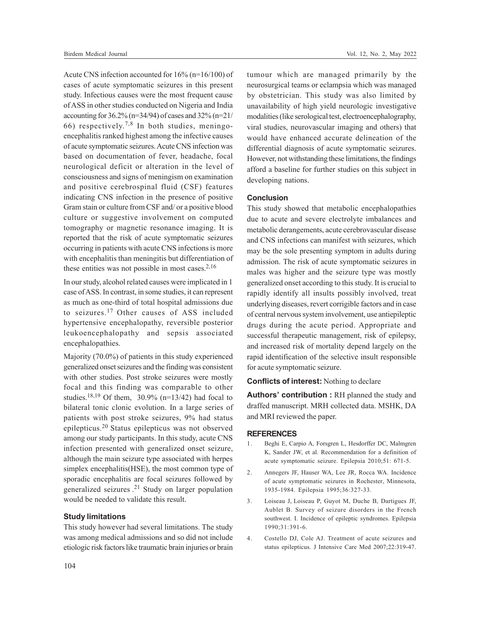Acute CNS infection accounted for 16% (n=16/100) of cases of acute symptomatic seizures in this present study. Infectious causes were the most frequent cause of ASS in other studies conducted on Nigeria and India accounting for  $36.2\%$  (n= $34/94$ ) of cases and  $32\%$  (n= $21/$ 66) respectively. 7,8 In both studies, meningoencephalitis ranked highest among the infective causes of acute symptomatic seizures. Acute CNS infection was based on documentation of fever, headache, focal neurological deficit or alteration in the level of consciousness and signs of meningism on examination and positive cerebrospinal fluid (CSF) features indicating CNS infection in the presence of positive Gram stain or culture from CSF and/ or a positive blood culture or suggestive involvement on computed tomography or magnetic resonance imaging. It is reported that the risk of acute symptomatic seizures occurring in patients with acute CNS infections is more with encephalitis than meningitis but differentiation of these entities was not possible in most cases. $2,16$ 

In our study, alcohol related causes were implicated in 1 case of ASS. In contrast, in some studies, it can represent as much as one-third of total hospital admissions due to seizures.17 Other causes of ASS included hypertensive encephalopathy, reversible posterior leukoencephalopathy and sepsis associated encephalopathies.

Majority (70.0%) of patients in this study experienced generalized onset seizures and the finding was consistent with other studies. Post stroke seizures were mostly focal and this finding was comparable to other studies.<sup>18,19</sup> Of them, 30.9% (n=13/42) had focal to bilateral tonic clonic evolution. In a large series of patients with post stroke seizures, 9% had status epilepticus.20 Status epilepticus was not observed among our study participants. In this study, acute CNS infection presented with generalized onset seizure, although the main seizure type associated with herpes simplex encephalitis(HSE), the most common type of sporadic encephalitis are focal seizures followed by generalized seizures . <sup>21</sup> Study on larger population would be needed to validate this result.

#### **Study limitations**

This study however had several limitations. The study was among medical admissions and so did not include etiologic risk factors like traumatic brain injuries or brain tumour which are managed primarily by the neurosurgical teams or eclampsia which was managed by obstetrician. This study was also limited by unavailability of high yield neurologic investigative modalities (like serological test, electroencephalography, viral studies, neurovascular imaging and others) that would have enhanced accurate delineation of the differential diagnosis of acute symptomatic seizures. However, not withstanding these limitations, the findings afford a baseline for further studies on this subject in developing nations.

### **Conclusion**

This study showed that metabolic encephalopathies due to acute and severe electrolyte imbalances and metabolic derangements, acute cerebrovascular disease and CNS infections can manifest with seizures, which may be the sole presenting symptom in adults during admission. The risk of acute symptomatic seizures in males was higher and the seizure type was mostly generalized onset according to this study. It is crucial to rapidly identify all insults possibly involved, treat underlying diseases, revert corrigible factors and in case of central nervous system involvement, use antiepileptic drugs during the acute period. Appropriate and successful therapeutic management, risk of epilepsy, and increased risk of mortality depend largely on the rapid identification of the selective insult responsible for acute symptomatic seizure.

# **Conflicts of interest:** Nothing to declare

**Authors' contribution :** RH planned the study and draffed manuscript. MRH collected data. MSHK, DA and MRI reviewed the paper.

#### **REFERENCES**

- 1. Beghi E, Carpio A, Forsgren L, Hesdorffer DC, Malmgren K, Sander JW, et al. Recommendation for a definition of acute symptomatic seizure. Epilepsia 2010;51: 671-5.
- 2. Annegers JF, Hauser WA, Lee JR, Rocca WA. Incidence of acute symptomatic seizures in Rochester, Minnesota, 1935-1984. Epilepsia 1995;36:327-33.
- 3. Loiseau J, Loiseau P, Guyot M, Duche B, Dartigues JF, Aublet B. Survey of seizure disorders in the French southwest. I. Incidence of epileptic syndromes. Epilepsia 1990;31:391-6.
- 4. Costello DJ, Cole AJ. Treatment of acute seizures and status epilepticus. J Intensive Care Med 2007;22:319-47.